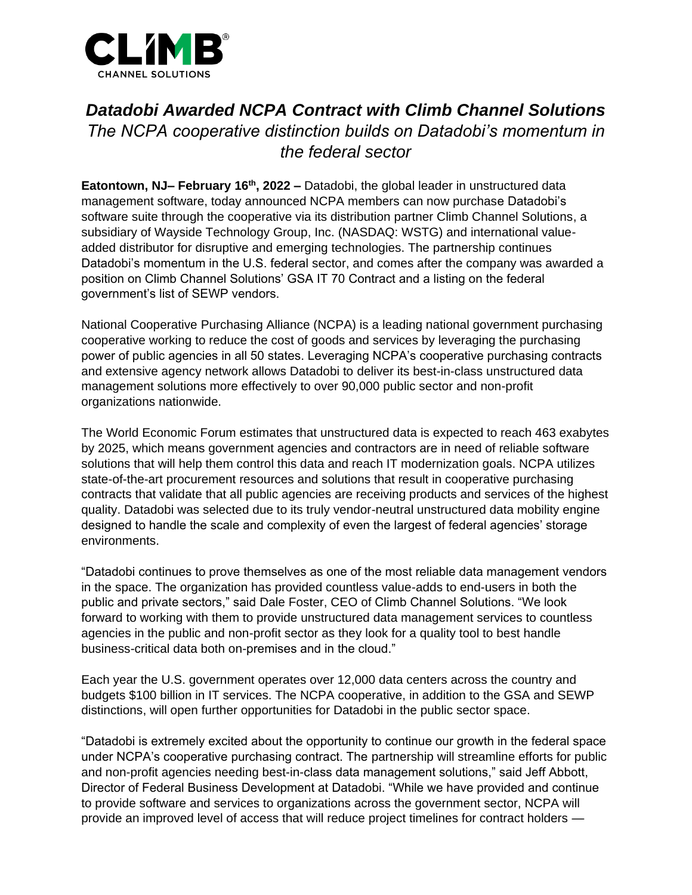

# *Datadobi Awarded NCPA Contract with Climb Channel Solutions The NCPA cooperative distinction builds on Datadobi's momentum in the federal sector*

**Eatontown, NJ– February 16th, 2022 –** Datadobi, the global leader in unstructured data management software, today announced NCPA members can now purchase Datadobi's software suite through the cooperative via its distribution partner Climb Channel Solutions, a subsidiary of Wayside Technology Group, Inc. (NASDAQ: WSTG) and international valueadded distributor for disruptive and emerging technologies. The partnership continues Datadobi's momentum in the U.S. federal sector, and comes after the company was awarded a position on Climb Channel Solutions' GSA IT 70 Contract and a listing on the federal government's list of SEWP vendors.

National Cooperative Purchasing Alliance (NCPA) is a leading national government purchasing cooperative working to reduce the cost of goods and services by leveraging the purchasing power of public agencies in all 50 states. Leveraging NCPA's cooperative purchasing contracts and extensive agency network allows Datadobi to deliver its best-in-class unstructured data management solutions more effectively to over 90,000 public sector and non-profit organizations nationwide.

The World Economic Forum estimates that unstructured data is expected to reach 463 exabytes by 2025, which means government agencies and contractors are in need of reliable software solutions that will help them control this data and reach IT modernization goals. NCPA utilizes state-of-the-art procurement resources and solutions that result in cooperative purchasing contracts that validate that all public agencies are receiving products and services of the highest quality. Datadobi was selected due to its truly vendor-neutral unstructured data mobility engine designed to handle the scale and complexity of even the largest of federal agencies' storage environments.

"Datadobi continues to prove themselves as one of the most reliable data management vendors in the space. The organization has provided countless value-adds to end-users in both the public and private sectors," said Dale Foster, CEO of Climb Channel Solutions. "We look forward to working with them to provide unstructured data management services to countless agencies in the public and non-profit sector as they look for a quality tool to best handle business-critical data both on-premises and in the cloud."

Each year the U.S. government operates over 12,000 data centers across the country and budgets \$100 billion in IT services. The NCPA cooperative, in addition to the GSA and SEWP distinctions, will open further opportunities for Datadobi in the public sector space.

"Datadobi is extremely excited about the opportunity to continue our growth in the federal space under NCPA's cooperative purchasing contract. The partnership will streamline efforts for public and non-profit agencies needing best-in-class data management solutions," said Jeff Abbott, Director of Federal Business Development at Datadobi. "While we have provided and continue to provide software and services to organizations across the government sector, NCPA will provide an improved level of access that will reduce project timelines for contract holders —